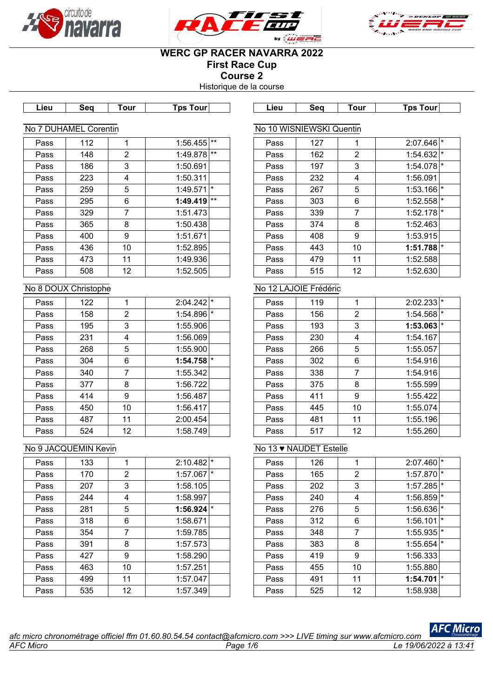





# **WERC GP RACER NAVARRA 2022**

**First Race Cup Course 2**

Historique de la course

**Lieu Seq Tour Tps Tour Lieu Seq Tour Tps Tour**

#### No 7 DUHAMEL Corentin

| Pass | 112 | 1                 | 1:56.455 | $**$     |
|------|-----|-------------------|----------|----------|
| Pass | 148 | 2                 | 1:49.878 | $***$    |
| Pass | 186 | 3                 | 1:50.691 |          |
| Pass | 223 | 4                 | 1:50.311 |          |
| Pass | 259 | 5                 | 1:49.571 | $^\star$ |
| Pass | 295 | 6                 | 1:49.419 | $***$    |
| Pass | 329 | 7                 | 1:51.473 |          |
| Pass | 365 | 8                 | 1:50.438 |          |
| Pass | 400 | 9                 | 1:51.671 |          |
| Pass | 436 | 10                | 1:52.895 |          |
| Pass | 473 | 11                | 1:49.936 |          |
| Pass | 508 | $12 \overline{ }$ | 1:52.505 |          |

# No 8 DOUX Christophe

| Pass | 122 | 1              | 2:04.242 | $\star$  |
|------|-----|----------------|----------|----------|
| Pass | 158 | $\overline{2}$ | 1:54.896 | $\star$  |
| Pass | 195 | 3              | 1:55.906 |          |
| Pass | 231 | 4              | 1:56.069 |          |
| Pass | 268 | 5              | 1:55.900 |          |
| Pass | 304 | 6              | 1:54.758 | $^\star$ |
| Pass | 340 | 7              | 1:55.342 |          |
| Pass | 377 | 8              | 1:56.722 |          |
| Pass | 414 | 9              | 1:56.487 |          |
| Pass | 450 | 10             | 1:56.417 |          |
| Pass | 487 | 11             | 2:00.454 |          |
| Pass | 524 | 12             | 1:58.749 |          |

# No 9 JACQUEMIN Kevin

| Pass | 133 | 1              | 2:10.482 |         |
|------|-----|----------------|----------|---------|
| Pass | 170 | $\overline{2}$ | 1:57.067 | $\star$ |
| Pass | 207 | 3              | 1:58.105 |         |
| Pass | 244 | 4              | 1:58.997 |         |
| Pass | 281 | 5              | 1:56.924 | $\star$ |
| Pass | 318 | 6              | 1:58.671 |         |
| Pass | 354 | 7              | 1:59.785 |         |
| Pass | 391 | 8              | 1:57.573 |         |
| Pass | 427 | 9              | 1:58.290 |         |
| Pass | 463 | 10             | 1:57.251 |         |
| Pass | 499 | 11             | 1:57.047 |         |
| Pass | 535 | 12             | 1:57.349 |         |

|      | No 10 WISNIEWSKI Quentin |    |          |         |  |
|------|--------------------------|----|----------|---------|--|
| Pass | 127                      | 1  | 2:07.646 | $\star$ |  |
| Pass | 162                      | 2  | 1:54.632 | $\star$ |  |
| Pass | 197                      | 3  | 1:54.078 | $\star$ |  |
| Pass | 232                      | 4  | 1:56.091 |         |  |
| Pass | 267                      | 5  | 1:53.166 | $\star$ |  |
| Pass | 303                      | 6  | 1:52.558 | $\star$ |  |
| Pass | 339                      | 7  | 1:52.178 | $\star$ |  |
| Pass | 374                      | 8  | 1:52.463 |         |  |
| Pass | 408                      | 9  | 1:53.915 |         |  |
| Pass | 443                      | 10 | 1:51.788 | $\star$ |  |
| Pass | 479                      | 11 | 1:52.588 |         |  |
| Pass | 515                      | 12 | 1:52.630 |         |  |

# No 12 LAJOIE Frédéric

| Pass | 119 | 1  | 2:02.233            |
|------|-----|----|---------------------|
| Pass | 156 | 2  | $\star$<br>1:54.568 |
| Pass | 193 | 3  | $\star$<br>1:53.063 |
| Pass | 230 | 4  | 1:54.167            |
| Pass | 266 | 5  | 1:55.057            |
| Pass | 302 | 6  | 1:54.916            |
| Pass | 338 | 7  | 1:54.916            |
| Pass | 375 | 8  | 1:55.599            |
| Pass | 411 | 9  | 1:55.422            |
| Pass | 445 | 10 | 1:55.074            |
| Pass | 481 | 11 | 1:55.196            |
| Pass | 517 | 12 | 1:55.260            |

# No 13 ♥ NAUDET Estelle

| Pass | 126 | 1  | $\star$<br>2:07.460  |  |
|------|-----|----|----------------------|--|
| Pass | 165 | 2  | $\star$<br>1:57.870  |  |
| Pass | 202 | 3  | $\star$<br>1:57.285  |  |
| Pass | 240 | 4  | $^\star$<br>1:56.859 |  |
| Pass | 276 | 5  | $\star$<br>1:56.636  |  |
| Pass | 312 | 6  | $\star$<br>1:56.101  |  |
| Pass | 348 | 7  | $\star$<br>1:55.935  |  |
| Pass | 383 | 8  | $\star$<br>1:55.654  |  |
| Pass | 419 | 9  | 1:56.333             |  |
| Pass | 455 | 10 | 1:55.880             |  |
| Pass | 491 | 11 | $\star$<br>1:54.701  |  |
| Pass | 525 | 12 | 1:58.938             |  |

|           | afc micro chronométrage officiel ffm 01.60.80.54.54 contact@afcmicro.com >>> LIVE timing sur www.afcmicro.com | <b>AFC Micr</b><br>Chronométra |
|-----------|---------------------------------------------------------------------------------------------------------------|--------------------------------|
| AFC Micro | Page 1/6                                                                                                      | Le 19/06/2022 à 13:41          |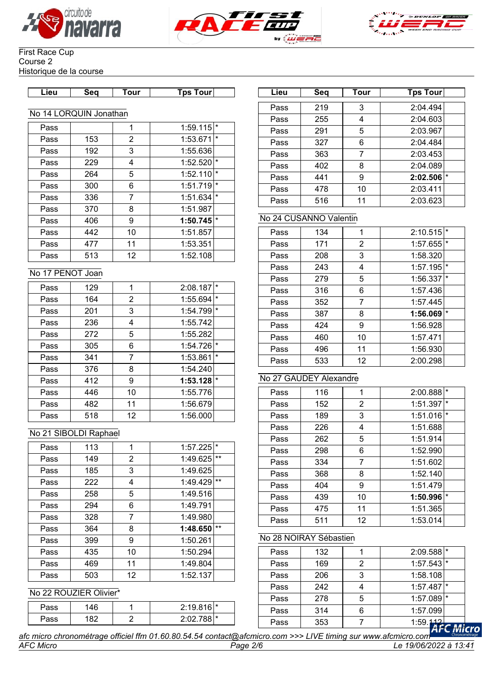





| Lieu. | Seα | Tour | Tps Tourl |  |
|-------|-----|------|-----------|--|
|       |     |      |           |  |

#### No 14 LORQUIN Jonathan

| Pass |     | 1              | 1:59.115 | $\star$  |
|------|-----|----------------|----------|----------|
| Pass | 153 | $\overline{2}$ | 1:53.671 | $\star$  |
| Pass | 192 | 3              | 1:55.636 |          |
| Pass | 229 | 4              | 1:52.520 | $^\star$ |
| Pass | 264 | 5              | 1:52.110 | $\star$  |
| Pass | 300 | 6              | 1:51.719 | $^\star$ |
| Pass | 336 | 7              | 1:51.634 | $\star$  |
| Pass | 370 | 8              | 1:51.987 |          |
| Pass | 406 | 9              | 1:50.745 | $^\star$ |
| Pass | 442 | 10             | 1:51.857 |          |
| Pass | 477 | 11             | 1:53.351 |          |
| Pass | 513 | 12             | 1:52.108 |          |

#### No 17 PENOT Joan

| Pass | 129 | 1              | 2:08.187 | $\star$ |
|------|-----|----------------|----------|---------|
| Pass | 164 | $\overline{2}$ | 1:55.694 | $\star$ |
| Pass | 201 | 3              | 1:54.799 | $\star$ |
| Pass | 236 | 4              | 1:55.742 |         |
| Pass | 272 | 5              | 1:55.282 |         |
| Pass | 305 | 6              | 1:54.726 | $\star$ |
| Pass | 341 | 7              | 1:53.861 | $\star$ |
| Pass | 376 | 8              | 1:54.240 |         |
| Pass | 412 | 9              | 1:53.128 | $\star$ |
| Pass | 446 | 10             | 1:55.776 |         |
| Pass | 482 | 11             | 1:56.679 |         |
| Pass | 518 | 12             | 1:56.000 |         |

# No 21 SIBOLDI Raphael

| Pass | 113 | 1  | 1:57.225 | $\star$ |
|------|-----|----|----------|---------|
| Pass | 149 | 2  | 1:49.625 | $***$   |
| Pass | 185 | 3  | 1:49.625 |         |
| Pass | 222 | 4  | 1:49.429 | $***$   |
| Pass | 258 | 5  | 1:49.516 |         |
| Pass | 294 | 6  | 1:49.791 |         |
| Pass | 328 | 7  | 1:49.980 |         |
| Pass | 364 | 8  | 1:48.650 | $***$   |
| Pass | 399 | 9  | 1:50.261 |         |
| Pass | 435 | 10 | 1:50.294 |         |
| Pass | 469 | 11 | 1:49.804 |         |
| Pass | 503 | 12 | 1:52.137 |         |

#### No 22 ROUZIER Olivier\*

| Pass | 46 | $2:19.816$ <sup>*</sup> |  |
|------|----|-------------------------|--|
| Pass |    | ∗اء¤7 7ט∩י?             |  |

| Lieu                | Seq | Tour   | <b>Tps Tour</b>                                          |  | Lieu | Seq | Tour | Tps Tour∣               |
|---------------------|-----|--------|----------------------------------------------------------|--|------|-----|------|-------------------------|
|                     |     |        |                                                          |  | Pass | 219 | 3    | 2:04.494                |
| 14 LORQUIN Jonathan |     |        |                                                          |  | Pass | 255 |      | 2:04.603                |
|                     |     |        |                                                          |  |      |     | 4    |                         |
| Pass                |     |        | $1:59.115$ <sup>*</sup>                                  |  | Pass | 291 | 5    | 2:03.967                |
| Pass                | 153 | 2      | $1:53.671$ <sup>*</sup>                                  |  | Pass | 327 | 6    | 2:04.484                |
| Pass                | 192 | 3      | 1:55.636                                                 |  | Pass | 363 | 7    | 2:03.453                |
|                     |     |        |                                                          |  |      |     |      |                         |
| Pass                | 229 | 4      | $1:52.520$ <sup>*</sup>                                  |  | Pass | 402 | 8    | 2:04.089                |
| Pass                | 264 | 5      | $1:52.110$ <sup>*</sup>                                  |  | Pass | 441 | 9    | $2:02.506$ <sup>*</sup> |
| Pass                | 300 | 6      | $1:51.719$ <sup>*</sup>                                  |  |      |     |      |                         |
|                     |     |        |                                                          |  | Pass | 478 | 10   | 2:03.411                |
| Pass                | 336 |        | $1:51.634$ <sup>*</sup>                                  |  | Pass | 516 | 11   | 2:03.623                |
| n.                  | 270 | $\sim$ | $\lambda$ . $\Gamma$ $\lambda$ $\Omega$ $\overline{\nu}$ |  |      |     |      |                         |

# No 24 CUSANNO Valentin

| Pass | 134 | 1              | 2:10.515<br>$\star$  |
|------|-----|----------------|----------------------|
| Pass | 171 | $\overline{2}$ | $\star$<br>1:57.655  |
| Pass | 208 | 3              | 1:58.320             |
| Pass | 243 | 4              | $\star$<br>1:57.195  |
| Pass | 279 | 5              | ∗<br>1:56.337        |
| Pass | 316 | 6              | 1:57.436             |
| Pass | 352 | 7              | 1:57.445             |
| Pass | 387 | 8              | $^\star$<br>1:56.069 |
| Pass | 424 | 9              | 1:56.928             |
| Pass | 460 | 10             | 1:57.471             |
| Pass | 496 | 11             | 1:56.930             |
| Pass | 533 | 12             | 2:00.298             |

# No 27 GAUDEY Alexandre

| Pass | 116 | 1  | 2:00.888<br>'∗          |
|------|-----|----|-------------------------|
| Pass | 152 | 2  | l *<br>1:51.397         |
| Pass | 189 | 3  | l *<br>1:51.016         |
| Pass | 226 | 4  | 1:51.688                |
| Pass | 262 | 5  | 1:51.914                |
| Pass | 298 | 6  | 1:52.990                |
| Pass | 334 | 7  | 1:51.602                |
| Pass | 368 | 8  | 1:52.140                |
| Pass | 404 | 9  | 1:51.479                |
| Pass | 439 | 10 | $1:50.996$ <sup>*</sup> |
| Pass | 475 | 11 | 1:51.365                |
| Pass | 511 | 12 | 1:53.014                |

### No 28 NOIRAY Sébastien

| Pass | 132 |   | 2:09.588                |  |
|------|-----|---|-------------------------|--|
| Pass | 169 | 2 | 1:57.543                |  |
| Pass | 206 | 3 | 1:58.108                |  |
| Pass | 242 |   | 1:57.487                |  |
| Pass | 278 | 5 | $1:57.089$ <sup>*</sup> |  |
| Pass | 314 |   | 1:57.099                |  |
| Pass | 353 |   | 1:59.112L               |  |

 $\overline{O}$ 

*AFC Micro Page 2/6 Le 19/06/2022 à 13:41 afc micro chronométrage officiel ffm 01.60.80.54.54 contact@afcmicro.com >>> LIVE timing sur www.afcmicro.com*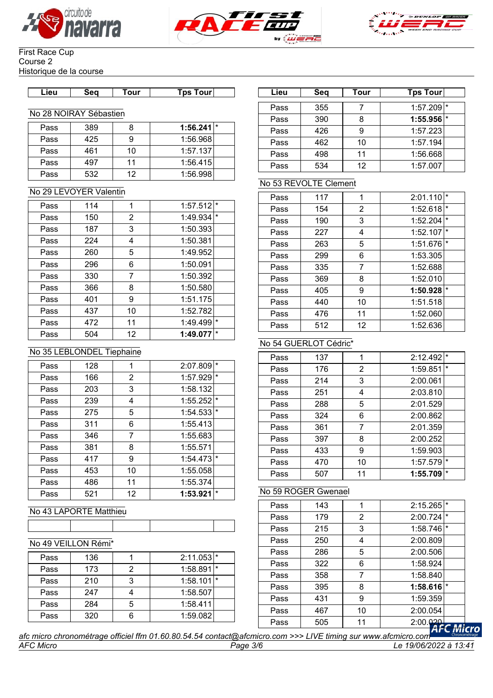





| ∟ieu | Sea | our | <b>Tour</b><br>`ps | ∟ieu | Sea | . our | our<br>`ps |
|------|-----|-----|--------------------|------|-----|-------|------------|
|      |     |     |                    |      |     |       |            |

#### No 28 NOIRAY Sébastien

| Pass | 389 |    | 1:56.241 |
|------|-----|----|----------|
| Pass | 425 |    | 1:56.968 |
| Pass | 461 | 10 | 1:57.137 |
| Pass | 497 |    | 1:56.415 |
| Pass | 532 | ィク | 1:56.998 |

## No 29 LEVOYER Valentin

| Pass | 114 | 1              | 1:57.512 | $\star$ |
|------|-----|----------------|----------|---------|
| Pass | 150 | 2              | 1:49.934 | $\star$ |
| Pass | 187 | 3              | 1:50.393 |         |
| Pass | 224 | 4              | 1:50.381 |         |
| Pass | 260 | 5              | 1:49.952 |         |
| Pass | 296 | 6              | 1:50.091 |         |
| Pass | 330 | $\overline{7}$ | 1:50.392 |         |
| Pass | 366 | 8              | 1:50.580 |         |
| Pass | 401 | 9              | 1:51.175 |         |
| Pass | 437 | 10             | 1:52.782 |         |
| Pass | 472 | 11             | 1:49.499 | $\star$ |
| Pass | 504 | 12             | 1:49.077 | $\star$ |

# No 35 LEBLONDEL Tiephaine

| Pass | 128 | 1              | 2:07.809                | $\star$ |
|------|-----|----------------|-------------------------|---------|
| Pass | 166 | $\overline{2}$ | 1:57.929                | $\star$ |
| Pass | 203 | 3              | 1:58.132                |         |
| Pass | 239 | 4              | $1:55.252$ <sup>*</sup> |         |
| Pass | 275 | 5              | 1:54.533                | $\star$ |
| Pass | 311 | 6              | 1:55.413                |         |
| Pass | 346 | 7              | 1:55.683                |         |
| Pass | 381 | 8              | 1:55.571                |         |
| Pass | 417 | 9              | $1:54.473$ <sup>*</sup> |         |
| Pass | 453 | 10             | 1:55.058                |         |
| Pass | 486 | 11             | 1:55.374                |         |
| Pass | 521 | 12             | 1:53.921                | $\star$ |

## No 43 LAPORTE Matthieu

|--|--|--|--|--|

# No 49 VEILLON Rémi\*

| Pass | 136 | $2:11.053$ <sup>*</sup> |
|------|-----|-------------------------|
| Pass | 173 | 1:58.891                |
| Pass | 210 | 1:58.101                |
| Pass | 247 | 1:58.507                |
| Pass | 284 | 1:58.411                |
| Pass | 320 | 1:59.082                |

| Lieu | Seq | Tour | Tps Tour∣ |
|------|-----|------|-----------|
|      |     |      |           |
| Pass | 355 |      | 1:57.209  |
| Pass | 390 | 8    | 1:55.956  |
| Pass | 426 |      | 1:57.223  |
| Pass | 462 | 10   | 1:57.194  |
| Pass | 498 | 11   | 1:56.668  |
| Pass | 534 | 12   | 1:57.007  |

#### No 53 REVOLTE Clement

| Pass | 117 | 1  | $\star$<br>2:01.110 |
|------|-----|----|---------------------|
| Pass | 154 | 2  | $\star$<br>1:52.618 |
| Pass | 190 | 3  | $\star$<br>1:52.204 |
| Pass | 227 | 4  | $\star$<br>1:52.107 |
| Pass | 263 | 5  | $\star$<br>1:51.676 |
| Pass | 299 | 6  | 1:53.305            |
| Pass | 335 | 7  | 1:52.688            |
| Pass | 369 | 8  | 1:52.010            |
| Pass | 405 | 9  | $\star$<br>1:50.928 |
| Pass | 440 | 10 | 1:51.518            |
| Pass | 476 | 11 | 1:52.060            |
| Pass | 512 | 12 | 1:52.636            |

# No 54 GUERLOT Cédric\*

| Pass | 137 | 1  | 2:12.492<br>l *     |
|------|-----|----|---------------------|
| Pass | 176 | 2  | $\star$<br>1:59.851 |
| Pass | 214 | 3  | 2:00.061            |
| Pass | 251 | 4  | 2:03.810            |
| Pass | 288 | 5  | 2:01.529            |
| Pass | 324 | 6  | 2:00.862            |
| Pass | 361 | 7  | 2:01.359            |
| Pass | 397 | 8  | 2:00.252            |
| Pass | 433 | 9  | 1:59.903            |
| Pass | 470 | 10 | 1:57.579<br>$\star$ |
| Pass | 507 | 11 | 1:55.709            |

### No 59 ROGER Gwenael

| Pass | 143 | 1  | 2:15.265 |         |
|------|-----|----|----------|---------|
| Pass | 179 | 2  | 2:00.724 |         |
| Pass | 215 | 3  | 1:58.746 | $\star$ |
| Pass | 250 | 4  | 2:00.809 |         |
| Pass | 286 | 5  | 2:00.506 |         |
| Pass | 322 | 6  | 1:58.924 |         |
| Pass | 358 | 7  | 1:58.840 |         |
| Pass | 395 | 8  | 1:58.616 | $\star$ |
| Pass | 431 | 9  | 1:59.359 |         |
| Pass | 467 | 10 | 2:00.054 |         |
| Pass | 505 | 11 | 2:00.0   |         |

 $\overline{O}$ 

*AFC Micro Page 3/6 Le 19/06/2022 à 13:41 afc micro chronométrage officiel ffm 01.60.80.54.54 contact@afcmicro.com >>> LIVE timing sur www.afcmicro.com*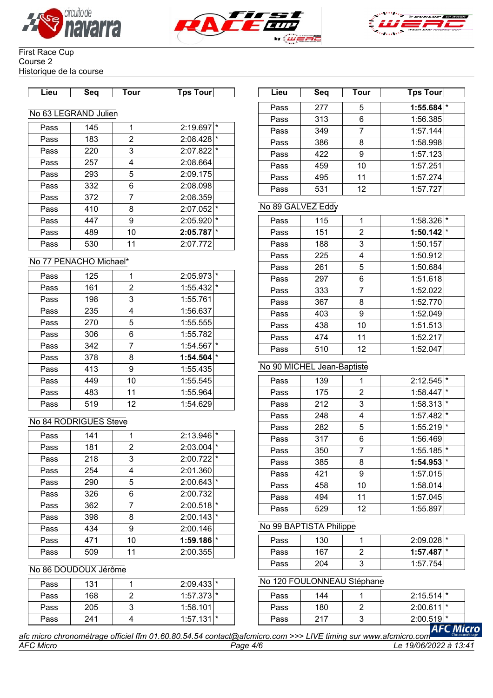





| -ieu | sea | Tour | Tɒs Tour⊺ |  |
|------|-----|------|-----------|--|
|      |     |      |           |  |

#### No 63 LEGRAND Julien

| Pass | 145 |    | $\star$<br>2:19.697 |  |
|------|-----|----|---------------------|--|
| Pass | 183 | 2  | $\star$<br>2:08.428 |  |
| Pass | 220 | 3  | $\star$<br>2:07.822 |  |
| Pass | 257 | 4  | 2:08.664            |  |
| Pass | 293 | 5  | 2:09.175            |  |
| Pass | 332 | 6  | 2:08.098            |  |
| Pass | 372 | 7  | 2:08.359            |  |
| Pass | 410 | 8  | $\star$<br>2:07.052 |  |
| Pass | 447 | 9  | $\star$<br>2:05.920 |  |
| Pass | 489 | 10 | $\star$<br>2:05.787 |  |
| Pass | 530 | 11 | 2:07.772            |  |

#### No 77 PENACHO Michael\*

| Pass | 125 | 1              | 2:05.973 | $\star$  |
|------|-----|----------------|----------|----------|
| Pass | 161 | $\overline{2}$ | 1:55.432 | $^\star$ |
| Pass | 198 | 3              | 1:55.761 |          |
| Pass | 235 | 4              | 1:56.637 |          |
| Pass | 270 | 5              | 1:55.555 |          |
| Pass | 306 | 6              | 1:55.782 |          |
| Pass | 342 | 7              | 1:54.567 | $\star$  |
| Pass | 378 | 8              | 1:54.504 | $\star$  |
| Pass | 413 | 9              | 1:55.435 |          |
| Pass | 449 | 10             | 1:55.545 |          |
| Pass | 483 | 11             | 1:55.964 |          |
| Pass | 519 | 12             | 1:54.629 |          |

# No 84 RODRIGUES Steve

| Pass | 141 |    | $\star$<br>2:13.946 |  |
|------|-----|----|---------------------|--|
| Pass | 181 | 2  | $\star$<br>2:03.004 |  |
| Pass | 218 | 3  | $\star$<br>2:00.722 |  |
| Pass | 254 | 4  | 2:01.360            |  |
| Pass | 290 | 5  | $\star$<br>2:00.643 |  |
| Pass | 326 | 6  | 2:00.732            |  |
| Pass | 362 | 7  | $\star$<br>2:00.518 |  |
| Pass | 398 | 8  | $\star$<br>2:00.143 |  |
| Pass | 434 | 9  | 2:00.146            |  |
| Pass | 471 | 10 | 1:59.186<br>$\star$ |  |
| Pass | 509 | 11 | 2:00.355            |  |

### No 86 DOUDOUX Jérôme

| Pass | 131 | $2:09.433$ <sup>*</sup> |
|------|-----|-------------------------|
| Pass | 168 | $1:57.373*$             |
| Pass | 205 | 1:58.101                |
| Pass | 241 | $1:57.131$ <sup>*</sup> |

| Lieu | Seq               | <b>Tour</b> | Tps Tour                | Lieu | Seq | <b>Tour</b> | Tps Tour                |
|------|-------------------|-------------|-------------------------|------|-----|-------------|-------------------------|
|      |                   |             |                         | Pass | 277 | 5           | $1:55.684$ <sup>*</sup> |
|      | 63 LEGRAND Julien |             |                         | Pass | 313 | 6           | 1:56.385                |
| Pass | 145               |             | $2:19.697$ <sup>*</sup> | Pass | 349 |             | 1:57.144                |
| Pass | 183               | 2           | $2:08.428$ <sup>*</sup> | Pass | 386 | 8           | 1:58.998                |
| Pass | 220               | 3           | $2:07.822$ <sup>*</sup> | Pass | 422 | 9           | 1:57.123                |
| Pass | 257               | 4           | 2:08.664                | Pass | 459 | 10          | 1:57.251                |
| Pass | 293               | 5           | 2:09.175                | Pass | 495 | 11          | 1:57.274                |
| Pass | 332               | 6           | 2:08.098                | Pass | 531 | 12          | 1:57.727                |
|      |                   |             |                         |      |     |             |                         |

# No 89 GALVEZ Eddy

| Pass | 115 | 1              | 1:58.326<br>$\star$     |
|------|-----|----------------|-------------------------|
| Pass | 151 | $\overline{2}$ | $1:50.142$ <sup>*</sup> |
| Pass | 188 | 3              | 1:50.157                |
| Pass | 225 | 4              | 1:50.912                |
| Pass | 261 | 5              | 1:50.684                |
| Pass | 297 | 6              | 1:51.618                |
| Pass | 333 | 7              | 1:52.022                |
| Pass | 367 | 8              | 1:52.770                |
| Pass | 403 | 9              | 1:52.049                |
| Pass | 438 | 10             | 1:51.513                |
| Pass | 474 | 11             | 1:52.217                |
| Pass | 510 | 12             | 1:52.047                |

## No 90 MICHEL Jean-Baptiste

| Pass | 139 | 1  | 2:12.545 | $\star$  |
|------|-----|----|----------|----------|
| Pass | 175 | 2  | 1:58.447 | $\star$  |
| Pass | 212 | 3  | 1:58.313 | $\star$  |
| Pass | 248 | 4  | 1:57.482 | $\star$  |
| Pass | 282 | 5  | 1:55.219 | $\star$  |
| Pass | 317 | 6  | 1:56.469 |          |
| Pass | 350 | 7  | 1:55.185 | $\star$  |
| Pass | 385 | 8  | 1:54.953 | $^\star$ |
| Pass | 421 | 9  | 1:57.015 |          |
| Pass | 458 | 10 | 1:58.014 |          |
| Pass | 494 | 11 | 1:57.045 |          |
| Pass | 529 | 12 | 1:55.897 |          |

### No 99 BAPTISTA Philippe

| Pass | 130 | $2:09.028$ <sup>*</sup> |  |
|------|-----|-------------------------|--|
| Pass | 167 | $1:57.487$ <sup>*</sup> |  |
| Pass | 204 | 1:57.754                |  |

### No 120 FOULONNEAU Stéphane

| Pass | 144 | 2:15.514                |   |  |
|------|-----|-------------------------|---|--|
| Pass | 180 | $2:00.611$ <sup>*</sup> |   |  |
| Pass | 217 | $2:00.519$ <sup>*</sup> |   |  |
|      |     |                         | . |  |

*AFC Micro Page 4/6 Le 19/06/2022 à 13:41 afc micro chronométrage officiel ffm 01.60.80.54.54 contact@afcmicro.com >>> LIVE timing sur www.afcmicro.com*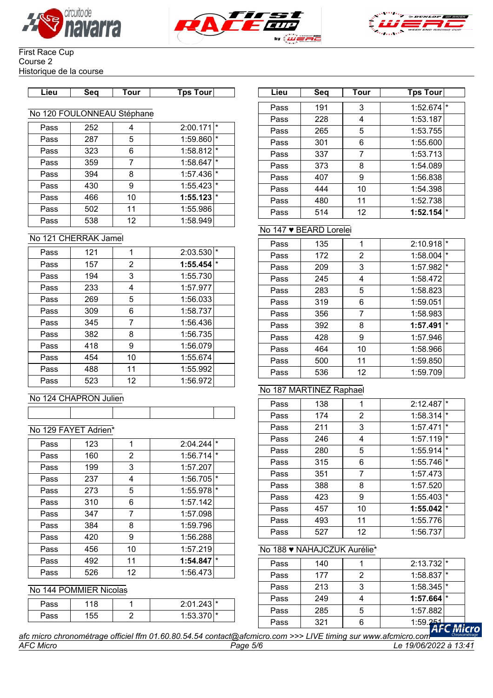





| Lieu | Sea | Tour | Tps Tourl |  |
|------|-----|------|-----------|--|
|      |     |      |           |  |

#### No 120 FOULONNEAU Stéphane

| Pass | 252 |    | 2:00.171                | $\star$ |
|------|-----|----|-------------------------|---------|
| Pass | 287 | 5  | 1:59.860                | $\star$ |
| Pass | 323 | 6  | $1:58.812$ <sup>*</sup> |         |
| Pass | 359 | 7  | 1:58.647                | $\star$ |
| Pass | 394 | 8  | 1:57.436                | $\star$ |
| Pass | 430 | 9  | 1:55.423                | $\star$ |
| Pass | 466 | 10 | 1:55.123                | $\star$ |
| Pass | 502 | 11 | 1:55.986                |         |
| Pass | 538 | 12 | 1:58.949                |         |

# No 121 CHERRAK Jamel

| Pass | 121 | 1              | $\star$<br>2:03.530 |         |
|------|-----|----------------|---------------------|---------|
| Pass | 157 | $\overline{2}$ | 1:55.454            | $\star$ |
| Pass | 194 | 3              | 1:55.730            |         |
| Pass | 233 | 4              | 1:57.977            |         |
| Pass | 269 | 5              | 1:56.033            |         |
| Pass | 309 | 6              | 1:58.737            |         |
| Pass | 345 | 7              | 1:56.436            |         |
| Pass | 382 | 8              | 1:56.735            |         |
| Pass | 418 | 9              | 1:56.079            |         |
| Pass | 454 | 10             | 1:55.674            |         |
| Pass | 488 | 11             | 1:55.992            |         |
| Pass | 523 | 12             | 1:56.972            |         |

# No 124 CHAPRON Julien

#### No 129 FAYET Adrien\*

| Pass | 123 | 1  | $\star$<br>2:04.244 |
|------|-----|----|---------------------|
| Pass | 160 | 2  | $\star$<br>1:56.714 |
| Pass | 199 | 3  | 1:57.207            |
| Pass | 237 | 4  | I∗<br>1:56.705      |
| Pass | 273 | 5  | $\star$<br>1:55.978 |
| Pass | 310 | 6  | 1:57.142            |
| Pass | 347 | 7  | 1:57.098            |
| Pass | 384 | 8  | 1:59.796            |
| Pass | 420 | 9  | 1:56.288            |
| Pass | 456 | 10 | 1:57.219            |
| Pass | 492 | 11 | $\star$<br>1:54.847 |
| Pass | 526 | 12 | 1:56.473            |

## No 144 POMMIER Nicolas

| Pass | 18  | $.243$ <sup>*</sup><br>2:01 |  |
|------|-----|-----------------------------|--|
| Pass | .55 | $1:53.370$ *                |  |

| Lieu | Seq                     | Tour | <b>Tps Tour</b>         | Lieu | Seq | <b>Tour</b> | Tps Tour                |
|------|-------------------------|------|-------------------------|------|-----|-------------|-------------------------|
|      |                         |      |                         | Pass | 191 | 3           | $1:52.674$ <sup>*</sup> |
|      | 120 FOULONNEAU Stéphane |      |                         | Pass | 228 | 4           | 1:53.187                |
| Pass | 252                     | 4    | $2:00.171$ <sup>*</sup> | Pass | 265 | 5           | 1:53.755                |
| Pass | 287                     | 5    | $1:59.860$ <sup>*</sup> | Pass | 301 | 6           | 1:55.600                |
| Pass | 323                     | 6    | $1:58.812$ <sup>*</sup> | Pass | 337 | 7           | 1:53.713                |
| Pass | 359                     |      | $1:58.647$ <sup>*</sup> | Pass | 373 | 8           | 1:54.089                |
| Pass | 394                     | 8    | $1:57.436$ <sup>*</sup> | Pass | 407 | 9           | 1:56.838                |
| Pass | 430                     | 9    | $1:55.423$ <sup>*</sup> | Pass | 444 | 10          | 1:54.398                |
| Pass | 466                     | 10   | $1:55.123$ <sup>*</sup> | Pass | 480 | 11          | 1:52.738                |
| Pass | 502                     | 11   | 1:55.986                | Pass | 514 | 12          | $1:52.154$ <sup>*</sup> |
|      |                         |      |                         |      |     |             |                         |

# No 147 ♥ BEARD Lorelei

| Pass | 135 | 1  | 2:10.918<br>$\star$ |
|------|-----|----|---------------------|
| Pass | 172 | 2  | $\star$<br>1:58.004 |
| Pass | 209 | 3  | $\star$<br>1:57.982 |
| Pass | 245 | 4  | 1:58.472            |
| Pass | 283 | 5  | 1:58.823            |
| Pass | 319 | 6  | 1:59.051            |
| Pass | 356 | 7  | 1:58.983            |
| Pass | 392 | 8  | $\star$<br>1:57.491 |
| Pass | 428 | 9  | 1:57.946            |
| Pass | 464 | 10 | 1:58.966            |
| Pass | 500 | 11 | 1:59.850            |
| Pass | 536 | 12 | 1:59.709            |

# No 187 MARTINEZ Raphael

| Pass | 138 | 1  | $\star$<br>2:12.487  |  |
|------|-----|----|----------------------|--|
| Pass | 174 | 2  | $\star$<br>1:58.314  |  |
| Pass | 211 | 3  | $\star$<br>1:57.471  |  |
| Pass | 246 | 4  | $\star$<br>1:57.119  |  |
| Pass | 280 | 5  | $\star$<br>1:55.914  |  |
| Pass | 315 | 6  | $\star$<br>1:55.746  |  |
| Pass | 351 | 7  | 1:57.473             |  |
| Pass | 388 | 8  | 1:57.520             |  |
| Pass | 423 | 9  | $\star$<br>1:55.403  |  |
| Pass | 457 | 10 | $^\star$<br>1:55.042 |  |
| Pass | 493 | 11 | 1:55.776             |  |
| Pass | 527 | 12 | 1:56.737             |  |

#### No 188 ♥ NAHAJCZUK Aurélie\*

| Pass | 140 | $2:13.732$ <sup>*</sup> |  |
|------|-----|-------------------------|--|
| Pass | 177 | $1:58.837$ <sup>*</sup> |  |
| Pass | 213 | 1:58.345                |  |
| Pass | 249 | $1:57.664$ <sup>*</sup> |  |
| Pass | 285 | 1:57.882                |  |
| Pass | 321 | 1:59.251                |  |
|      |     |                         |  |

Ó.

*AFC Micro Page 5/6 Le 19/06/2022 à 13:41 afc micro chronométrage officiel ffm 01.60.80.54.54 contact@afcmicro.com >>> LIVE timing sur www.afcmicro.com*